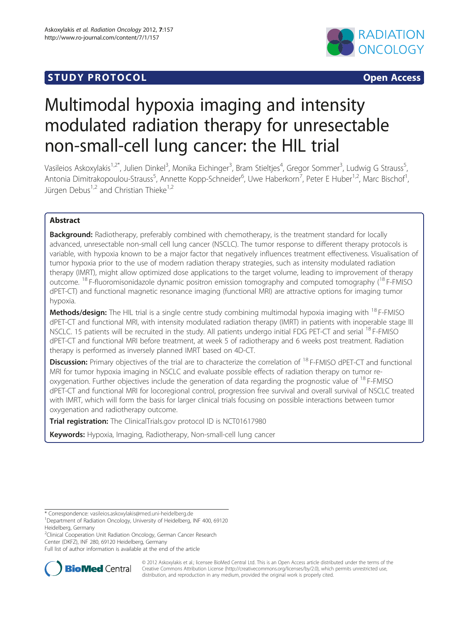# **STUDY PROTOCOL CONSUMING THE SECOND CONSUMING THE SECOND CONSUMING THE SECOND CONSUMING THE SECOND CONSUMING THE SECOND CONSUMING THE SECOND CONSUMING THE SECOND CONSUMING THE SECOND CONSUMING THE SECOND CONSUMING THE S**



# Multimodal hypoxia imaging and intensity modulated radiation therapy for unresectable non-small-cell lung cancer: the HIL trial

Vasileios Askoxylakis<sup>1,2\*</sup>, Julien Dinkel<sup>3</sup>, Monika Eichinger<sup>3</sup>, Bram Stieltjes<sup>4</sup>, Gregor Sommer<sup>3</sup>, Ludwig G Strauss<sup>5</sup> , Antonia Dimitrakopoulou-Strauss<sup>5</sup>, Annette Kopp-Schneider<sup>6</sup>, Uwe Haberkorn<sup>7</sup>, Peter E Huber<sup>1,2</sup>, Marc Bischof<sup>1</sup> , Jürgen Debus<sup>1,2</sup> and Christian Thieke<sup>1,2</sup>

# Abstract

Background: Radiotherapy, preferably combined with chemotherapy, is the treatment standard for locally advanced, unresectable non-small cell lung cancer (NSCLC). The tumor response to different therapy protocols is variable, with hypoxia known to be a major factor that negatively influences treatment effectiveness. Visualisation of tumor hypoxia prior to the use of modern radiation therapy strategies, such as intensity modulated radiation therapy (IMRT), might allow optimized dose applications to the target volume, leading to improvement of therapy outcome. <sup>18</sup> F-fluoromisonidazole dynamic positron emission tomography and computed tomography (<sup>18</sup> F-FMISO dPET-CT) and functional magnetic resonance imaging (functional MRI) are attractive options for imaging tumor hypoxia.

Methods/design: The HIL trial is a single centre study combining multimodal hypoxia imaging with <sup>18</sup> F-FMISO dPET-CT and functional MRI, with intensity modulated radiation therapy (IMRT) in patients with inoperable stage III NSCLC. 15 patients will be recruited in the study. All patients undergo initial FDG PET-CT and serial <sup>18</sup> F-FMISO dPET-CT and functional MRI before treatment, at week 5 of radiotherapy and 6 weeks post treatment. Radiation therapy is performed as inversely planned IMRT based on 4D-CT.

**Discussion:** Primary objectives of the trial are to characterize the correlation of <sup>18</sup> F-FMISO dPET-CT and functional MRI for tumor hypoxia imaging in NSCLC and evaluate possible effects of radiation therapy on tumor reoxygenation. Further objectives include the generation of data regarding the prognostic value of <sup>18</sup> F-FMISO dPET-CT and functional MRI for locoregional control, progression free survival and overall survival of NSCLC treated with IMRT, which will form the basis for larger clinical trials focusing on possible interactions between tumor oxygenation and radiotherapy outcome.

Trial registration: The ClinicalTrials.gov protocol ID is NCT01617980

Keywords: Hypoxia, Imaging, Radiotherapy, Non-small-cell lung cancer

<sup>2</sup>Clinical Cooperation Unit Radiation Oncology, German Cancer Research Center (DKFZ), INF 280, 69120 Heidelberg, Germany

Full list of author information is available at the end of the article



© 2012 Askoxylakis et al.; licensee BioMed Central Ltd. This is an Open Access article distributed under the terms of the Creative Commons Attribution License (<http://creativecommons.org/licenses/by/2.0>), which permits unrestricted use, distribution, and reproduction in any medium, provided the original work is properly cited.

<sup>\*</sup> Correspondence: [vasileios.askoxylakis@med.uni-heidelberg.de](mailto:vasileios.askoxylakis@med.uni-eidelberg.de) <sup>1</sup>

<sup>&</sup>lt;sup>1</sup>Department of Radiation Oncology, University of Heidelberg, INF 400, 69120 Heidelberg, Germany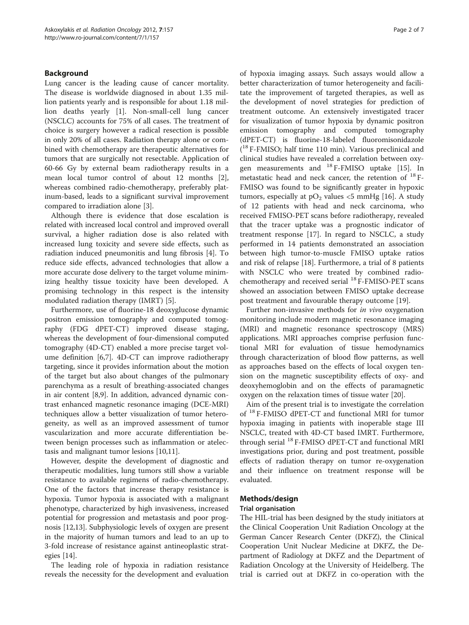# Background

Lung cancer is the leading cause of cancer mortality. The disease is worldwide diagnosed in about 1.35 million patients yearly and is responsible for about 1.18 million deaths yearly [\[1](#page-5-0)]. Non-small-cell lung cancer (NSCLC) accounts for 75% of all cases. The treatment of choice is surgery however a radical resection is possible in only 20% of all cases. Radiation therapy alone or combined with chemotherapy are therapeutic alternatives for tumors that are surgically not resectable. Application of 60-66 Gy by external beam radiotherapy results in a mean local tumor control of about 12 months [\[2](#page-5-0)], whereas combined radio-chemotherapy, preferably platinum-based, leads to a significant survival improvement compared to irradiation alone [\[3](#page-5-0)].

Although there is evidence that dose escalation is related with increased local control and improved overall survival, a higher radiation dose is also related with increased lung toxicity and severe side effects, such as radiation induced pneumonitis and lung fibrosis [[4\]](#page-5-0). To reduce side effects, advanced technologies that allow a more accurate dose delivery to the target volume minimizing healthy tissue toxicity have been developed. A promising technology in this respect is the intensity modulated radiation therapy (IMRT) [\[5](#page-5-0)].

Furthermore, use of fluorine-18 deoxyglucose dynamic positron emission tomography and computed tomography (FDG dPET-CT) improved disease staging, whereas the development of four-dimensional computed tomography (4D-CT) enabled a more precise target volume definition [[6,7\]](#page-5-0). 4D-CT can improve radiotherapy targeting, since it provides information about the motion of the target but also about changes of the pulmonary parenchyma as a result of breathing-associated changes in air content [\[8,9](#page-5-0)]. In addition, advanced dynamic contrast enhanced magnetic resonance imaging (DCE-MRI) techniques allow a better visualization of tumor heterogeneity, as well as an improved assessment of tumor vascularization and more accurate differentiation between benign processes such as inflammation or atelectasis and malignant tumor lesions [\[10,11](#page-5-0)].

However, despite the development of diagnostic and therapeutic modalities, lung tumors still show a variable resistance to available regimens of radio-chemotherapy. One of the factors that increase therapy resistance is hypoxia. Tumor hypoxia is associated with a malignant phenotype, characterized by high invasiveness, increased potential for progression and metastasis and poor prognosis [\[12,13](#page-6-0)]. Subphysiologic levels of oxygen are present in the majority of human tumors and lead to an up to 3-fold increase of resistance against antineoplastic strategies  $|14|$  $|14|$  $|14|$ .

The leading role of hypoxia in radiation resistance reveals the necessity for the development and evaluation

of hypoxia imaging assays. Such assays would allow a better characterization of tumor heterogeneity and facilitate the improvement of targeted therapies, as well as the development of novel strategies for prediction of treatment outcome. An extensively investigated tracer for visualization of tumor hypoxia by dynamic positron emission tomography and computed tomography (dPET-CT) is fluorine-18-labeled fluoromisonidazole ( <sup>18</sup> F-FMISO; half time 110 min). Various preclinical and clinical studies have revealed a correlation between oxygen measurements and <sup>18</sup> F-FMISO uptake [[15](#page-6-0)]. In metastatic head and neck cancer, the retention of <sup>18</sup> F-FMISO was found to be significantly greater in hypoxic tumors, especially at  $pO_2$  values <5 mmHg [\[16](#page-6-0)]. A study of 12 patients with head and neck carcinoma, who received FMISO-PET scans before radiotherapy, revealed that the tracer uptake was a prognostic indicator of treatment response [[17\]](#page-6-0). In regard to NSCLC, a study performed in 14 patients demonstrated an association between high tumor-to-muscle FMISO uptake ratios and risk of relapse [[18\]](#page-6-0). Furthermore, a trial of 8 patients with NSCLC who were treated by combined radiochemotherapy and received serial <sup>18</sup> F-FMISO-PET scans showed an association between FMISO uptake decrease post treatment and favourable therapy outcome [\[19](#page-6-0)].

Further non-invasive methods for in vivo oxygenation monitoring include modern magnetic resonance imaging (MRI) and magnetic resonance spectroscopy (MRS) applications. MRI approaches comprise perfusion functional MRI for evaluation of tissue hemodynamics through characterization of blood flow patterns, as well as approaches based on the effects of local oxygen tension on the magnetic susceptibility effects of oxy- and deoxyhemoglobin and on the effects of paramagnetic oxygen on the relaxation times of tissue water [[20\]](#page-6-0).

Aim of the present trial is to investigate the correlation of <sup>18</sup> F-FMISO dPET-CT and functional MRI for tumor hypoxia imaging in patients with inoperable stage III NSCLC, treated with 4D-CT based IMRT. Furthermore, through serial <sup>18</sup> F-FMISO dPET-CT and functional MRI investigations prior, during and post treatment, possible effects of radiation therapy on tumor re-oxygenation and their influence on treatment response will be evaluated.

# Methods/design

# Trial organisation

The HIL-trial has been designed by the study initiators at the Clinical Cooperation Unit Radiation Oncology at the German Cancer Research Center (DKFZ), the Clinical Cooperation Unit Nuclear Medicine at DKFZ, the Department of Radiology at DKFZ and the Department of Radiation Oncology at the University of Heidelberg. The trial is carried out at DKFZ in co-operation with the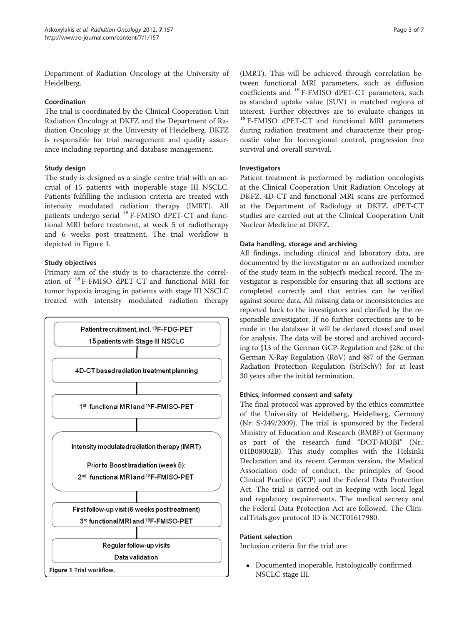Department of Radiation Oncology at the University of Heidelberg.

# Coordination

The trial is coordinated by the Clinical Cooperation Unit Radiation Oncology at DKFZ and the Department of Radiation Oncology at the University of Heidelberg. DKFZ is responsible for trial management and quality assurance including reporting and database management.

# Study design

The study is designed as a single centre trial with an accrual of 15 patients with inoperable stage III NSCLC. Patients fulfilling the inclusion criteria are treated with intensity modulated radiation therapy (IMRT). All patients undergo serial <sup>18</sup> F-FMISO dPET-CT and functional MRI before treatment, at week 5 of radiotherapy and 6 weeks post treatment. The trial workflow is depicted in Figure 1.

# Study objectives

Primary aim of the study is to characterize the correlation of <sup>18</sup> F-FMISO dPET-CT and functional MRI for tumor hypoxia imaging in patients with stage III NSCLC treated with intensity modulated radiation therapy



(IMRT). This will be achieved through correlation between functional MRI parameters, such as diffusion coefficients and <sup>18</sup> F-FMISO dPET-CT parameters, such as standard uptake value (SUV) in matched regions of interest. Further objectives are to evaluate changes in <sup>18</sup> F-FMISO dPET-CT and functional MRI parameters during radiation treatment and characterize their prognostic value for locoregional control, progression free survival and overall survival.

# Investigators

Patient treatment is performed by radiation oncologists at the Clinical Cooperation Unit Radiation Oncology at DKFZ. 4D-CT and functional MRI scans are performed at the Department of Radiology at DKFZ. dPET-CT studies are carried out at the Clinical Cooperation Unit Nuclear Medicine at DKFZ.

# Data handling, storage and archiving

All findings, including clinical and laboratory data, are documented by the investigator or an authorized member of the study team in the subject's medical record. The investigator is responsible for ensuring that all sections are completed correctly and that entries can be verified against source data. All missing data or inconsistencies are reported back to the investigators and clarified by the responsible investigator. If no further corrections are to be made in the database it will be declared closed and used for analysis. The data will be stored and archived according to  $$13$  of the German GCP-Regulation and  $$28c$  of the German X-Ray Regulation (RöV) and §87 of the German Radiation Protection Regulation (StrlSchV) for at least 30 years after the initial termination.

# Ethics, informed consent and safety

The final protocol was approved by the ethics committee of the University of Heidelberg, Heidelberg, Germany (Nr: S-249/2009). The trial is sponsored by the Federal Ministry of Education and Research (BMBF) of Germany as part of the research fund "DOT-MOBI" (Nr.: 01IB08002B). This study complies with the Helsinki Declaration and its recent German version, the Medical Association code of conduct, the principles of Good Clinical Practice (GCP) and the Federal Data Protection Act. The trial is carried out in keeping with local legal and regulatory requirements. The medical secrecy and the Federal Data Protection Act are followed. The ClinicalTrials.gov protocol ID is NCT01617980.

# Patient selection

Inclusion criteria for the trial are:

Documented inoperable, histologically confirmed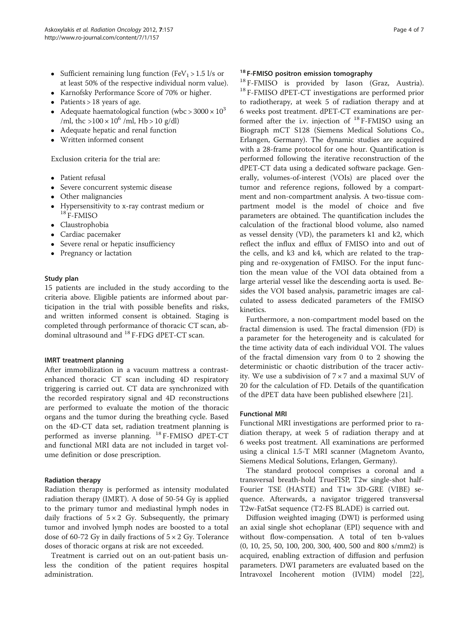- Sufficient remaining lung function (FeV<sub>1</sub> > 1.5 l/s or at least 50% of the respective individual norm value).
- Karnofsky Performance Score of 70% or higher.
- $\bullet$  Patients > 18 years of age.
- Adequate haematological function (wbc > 3000  $\times$  10<sup>3</sup> /ml, thc  $>100 \times 10^6$  /ml, Hb  $>10$  g/dl)
- Adequate hepatic and renal function
- Written informed consent

Exclusion criteria for the trial are:

- Patient refusal
- Severe concurrent systemic disease
- Other malignancies
- Hypersensitivity to x-ray contrast medium or <sup>18</sup> F-FMISO
- Claustrophobia
- Cardiac pacemaker
- Severe renal or hepatic insufficiency
- Pregnancy or lactation

### Study plan

15 patients are included in the study according to the criteria above. Eligible patients are informed about participation in the trial with possible benefits and risks, and written informed consent is obtained. Staging is completed through performance of thoracic CT scan, abdominal ultrasound and <sup>18</sup> F-FDG dPET-CT scan.

### IMRT treatment planning

After immobilization in a vacuum mattress a contrastenhanced thoracic CT scan including 4D respiratory triggering is carried out. CT data are synchronized with the recorded respiratory signal and 4D reconstructions are performed to evaluate the motion of the thoracic organs and the tumor during the breathing cycle. Based on the 4D-CT data set, radiation treatment planning is performed as inverse planning. <sup>18</sup> F-FMISO dPET-CT and functional MRI data are not included in target volume definition or dose prescription.

### Radiation therapy

Radiation therapy is performed as intensity modulated radiation therapy (IMRT). A dose of 50-54 Gy is applied to the primary tumor and mediastinal lymph nodes in daily fractions of  $5 \times 2$  Gy. Subsequently, the primary tumor and involved lymph nodes are boosted to a total dose of 60-72 Gy in daily fractions of  $5 \times 2$  Gy. Tolerance doses of thoracic organs at risk are not exceeded.

Treatment is carried out on an out-patient basis unless the condition of the patient requires hospital administration.

<sup>18</sup> F-FMISO positron emission tomography<br><sup>18</sup> F-FMISO is provided by Iason (Graz, Austria).  $18$  F-FMISO dPET-CT investigations are performed prior to radiotherapy, at week 5 of radiation therapy and at 6 weeks post treatment. dPET-CT examinations are performed after the i.v. injection of  $^{18}$  F-FMISO using an Biograph mCT S128 (Siemens Medical Solutions Co., Erlangen, Germany). The dynamic studies are acquired with a 28-frame protocol for one hour. Quantification is performed following the iterative reconstruction of the dPET-CT data using a dedicated software package. Generally, volumes-of-interest (VOIs) are placed over the tumor and reference regions, followed by a compartment and non-compartment analysis. A two-tissue compartment model is the model of choice and five parameters are obtained. The quantification includes the calculation of the fractional blood volume, also named as vessel density (VD), the parameters k1 and k2, which reflect the influx and efflux of FMISO into and out of the cells, and k3 and k4, which are related to the trapping and re-oxygenation of FMISO. For the input function the mean value of the VOI data obtained from a large arterial vessel like the descending aorta is used. Besides the VOI based analysis, parametric images are calculated to assess dedicated parameters of the FMISO kinetics.

Furthermore, a non-compartment model based on the fractal dimension is used. The fractal dimension (FD) is a parameter for the heterogeneity and is calculated for the time activity data of each individual VOI. The values of the fractal dimension vary from 0 to 2 showing the deterministic or chaotic distribution of the tracer activity. We use a subdivision of 7 × 7 and a maximal SUV of 20 for the calculation of FD. Details of the quantification of the dPET data have been published elsewhere [\[21](#page-6-0)].

### Functional MRI

Functional MRI investigations are performed prior to radiation therapy, at week 5 of radiation therapy and at 6 weeks post treatment. All examinations are performed using a clinical 1.5-T MRI scanner (Magnetom Avanto, Siemens Medical Solutions, Erlangen, Germany).

The standard protocol comprises a coronal and a transversal breath-hold TrueFISP, T2w single-shot half-Fourier TSE (HASTE) and T1w 3D-GRE (VIBE) sequence. Afterwards, a navigator triggered transversal T2w-FatSat sequence (T2-FS BLADE) is carried out.

Diffusion weighted imaging (DWI) is performed using an axial single shot echoplanar (EPI) sequence with and without flow-compensation. A total of ten b-values (0, 10, 25, 50, 100, 200, 300, 400, 500 and 800 s/mm2) is acquired, enabling extraction of diffusion and perfusion parameters. DWI parameters are evaluated based on the Intravoxel Incoherent motion (IVIM) model [\[22](#page-6-0)],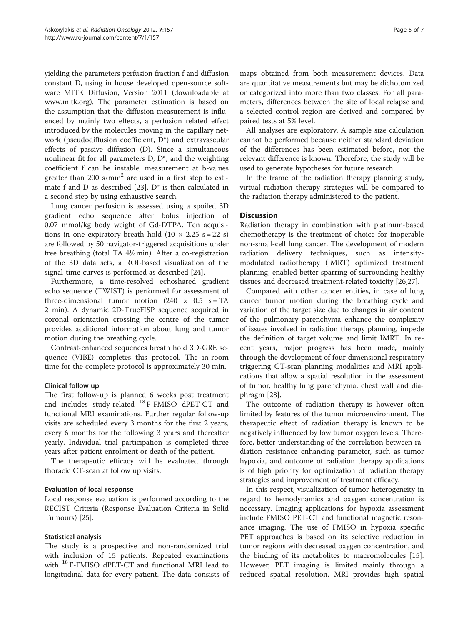yielding the parameters perfusion fraction f and diffusion constant D, using in house developed open-source software MITK Diffusion, Version 2011 (downloadable at [www.mitk.org\)](http://www.mitk.org). The parameter estimation is based on the assumption that the diffusion measurement is influenced by mainly two effects, a perfusion related effect introduced by the molecules moving in the capillary network (pseudodiffusion coefficient, D\*) and extravascular effects of passive diffusion (D). Since a simultaneous nonlinear fit for all parameters D, D\*, and the weighting coefficient f can be instable, measurement at b-values greater than 200 s/mm<sup>2</sup> are used in a first step to estimate f and D as described [\[23](#page-6-0)]. D\* is then calculated in a second step by using exhaustive search.

Lung cancer perfusion is assessed using a spoiled 3D gradient echo sequence after bolus injection of 0.07 mmol/kg body weight of Gd-DTPA. Ten acquisitions in one expiratory breath hold  $(10 \times 2.25 \text{ s} = 22 \text{ s})$ are followed by 50 navigator-triggered acquisitions under free breathing (total TA 4½ min). After a co-registration of the 3D data sets, a ROI-based visualization of the signal-time curves is performed as described [\[24](#page-6-0)].

Furthermore, a time-resolved echoshared gradient echo sequence (TWIST) is performed for assessment of three-dimensional tumor motion (240  $\times$  0.5 s = TA 2 min). A dynamic 2D-TrueFISP sequence acquired in coronal orientation crossing the centre of the tumor provides additional information about lung and tumor motion during the breathing cycle.

Contrast-enhanced sequences breath hold 3D-GRE sequence (VIBE) completes this protocol. The in-room time for the complete protocol is approximately 30 min.

### Clinical follow up

The first follow-up is planned 6 weeks post treatment and includes study-related <sup>18</sup> F-FMISO dPET-CT and functional MRI examinations. Further regular follow-up visits are scheduled every 3 months for the first 2 years, every 6 months for the following 3 years and thereafter yearly. Individual trial participation is completed three years after patient enrolment or death of the patient.

The therapeutic efficacy will be evaluated through thoracic CT-scan at follow up visits.

### Evaluation of local response

Local response evaluation is performed according to the RECIST Criteria (Response Evaluation Criteria in Solid Tumours) [[25\]](#page-6-0).

### Statistical analysis

The study is a prospective and non-randomized trial with inclusion of 15 patients. Repeated examinations with <sup>18</sup> F-FMISO dPET-CT and functional MRI lead to longitudinal data for every patient. The data consists of maps obtained from both measurement devices. Data are quantitative measurements but may be dichotomized or categorized into more than two classes. For all parameters, differences between the site of local relapse and a selected control region are derived and compared by paired tests at 5% level.

All analyses are exploratory. A sample size calculation cannot be performed because neither standard deviation of the differences has been estimated before, nor the relevant difference is known. Therefore, the study will be used to generate hypotheses for future research.

In the frame of the radiation therapy planning study, virtual radiation therapy strategies will be compared to the radiation therapy administered to the patient.

### **Discussion**

Radiation therapy in combination with platinum-based chemotherapy is the treatment of choice for inoperable non-small-cell lung cancer. The development of modern radiation delivery techniques, such as intensitymodulated radiotherapy (IMRT) optimized treatment planning, enabled better sparring of surrounding healthy tissues and decreased treatment-related toxicity [[26,27\]](#page-6-0).

Compared with other cancer entities, in case of lung cancer tumor motion during the breathing cycle and variation of the target size due to changes in air content of the pulmonary parenchyma enhance the complexity of issues involved in radiation therapy planning, impede the definition of target volume and limit IMRT. In recent years, major progress has been made, mainly through the development of four dimensional respiratory triggering CT-scan planning modalities and MRI applications that allow a spatial resolution in the assessment of tumor, healthy lung parenchyma, chest wall and diaphragm [\[28](#page-6-0)].

The outcome of radiation therapy is however often limited by features of the tumor microenvironment. The therapeutic effect of radiation therapy is known to be negatively influenced by low tumor oxygen levels. Therefore, better understanding of the correlation between radiation resistance enhancing parameter, such as tumor hypoxia, and outcome of radiation therapy applications is of high priority for optimization of radiation therapy strategies and improvement of treatment efficacy.

In this respect, visualization of tumor heterogeneity in regard to hemodynamics and oxygen concentration is necessary. Imaging applications for hypoxia assessment include FMISO PET-CT and functional magnetic resonance imaging. The use of FMISO in hypoxia specific PET approaches is based on its selective reduction in tumor regions with decreased oxygen concentration, and the binding of its metabolites to macromolecules [\[15](#page-6-0)]. However, PET imaging is limited mainly through a reduced spatial resolution. MRI provides high spatial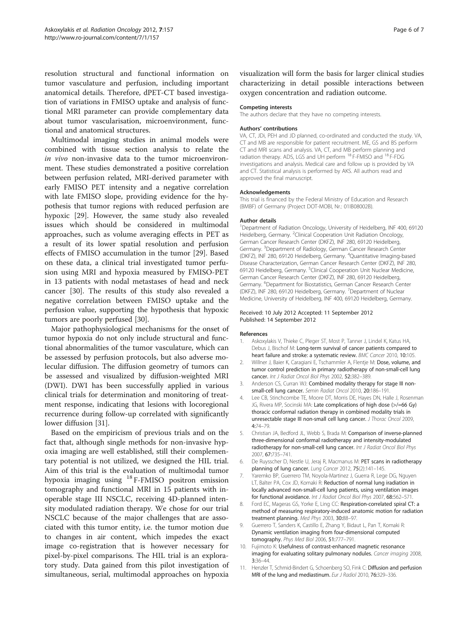<span id="page-5-0"></span>resolution structural and functional information on tumor vasculature and perfusion, including important anatomical details. Therefore, dPET-CT based investigation of variations in FMISO uptake and analysis of functional MRI parameter can provide complementary data about tumor vascularisation, microenvironment, functional and anatomical structures.

Multimodal imaging studies in animal models were combined with tissue section analysis to relate the in vivo non-invasive data to the tumor microenvironment. These studies demonstrated a positive correlation between perfusion related, MRI-derived parameter with early FMISO PET intensity and a negative correlation with late FMISO slope, providing evidence for the hypothesis that tumor regions with reduced perfusion are hypoxic [\[29](#page-6-0)]. However, the same study also revealed issues which should be considered in multimodal approaches, such as volume averaging effects in PET as a result of its lower spatial resolution and perfusion effects of FMISO accumulation in the tumor [\[29](#page-6-0)]. Based on these data, a clinical trial investigated tumor perfusion using MRI and hypoxia measured by FMISO-PET in 13 patients with nodal metastases of head and neck cancer [[30\]](#page-6-0). The results of this study also revealed a negative correlation between FMISO uptake and the perfusion value, supporting the hypothesis that hypoxic tumors are poorly perfused [\[30](#page-6-0)].

Major pathophysiological mechanisms for the onset of tumor hypoxia do not only include structural and functional abnormalities of the tumor vasculature, which can be assessed by perfusion protocols, but also adverse molecular diffusion. The diffusion geometry of tumors can be assessed and visualized by diffusion-weighted MRI (DWI). DWI has been successfully applied in various clinical trials for determination and monitoring of treatment response, indicating that lesions with locoregional recurrence during follow-up correlated with significantly lower diffusion [\[31\]](#page-6-0).

Based on the empiricism of previous trials and on the fact that, although single methods for non-invasive hypoxia imaging are well established, still their complementary potential is not utilized, we designed the HIL trial. Aim of this trial is the evaluation of multimodal tumor hypoxia imaging using <sup>18</sup> F-FMISO positron emission tomography and functional MRI in 15 patients with inoperable stage III NSCLC, receiving 4D-planned intensity modulated radiation therapy. We chose for our trial NSCLC because of the major challenges that are associated with this tumor entity, i.e. the tumor motion due to changes in air content, which impedes the exact image co-registration that is however necessary for pixel-by-pixel comparisons. The HIL trial is an exploratory study. Data gained from this pilot investigation of simultaneous, serial, multimodal approaches on hypoxia

visualization will form the basis for larger clinical studies characterizing in detail possible interactions between oxygen concentration and radiation outcome.

### Competing interests

The authors declare that they have no competing interests.

### Authors' contributions

VA, CT, JDi, PEH and JD planned, co-ordinated and conducted the study. VA, CT and MB are responsible for patient recruitment. ME, GS and BS perform CT and MRI scans and analysis. VA, CT, and MB perform planning and radiation therapy. ADS, LGS and UH perform <sup>18</sup> F-FMISO and <sup>18</sup> F-FDG investigations and analysis. Medical care and follow up is provided by VA and CT. Statistical analysis is performed by AKS. All authors read and approved the final manuscript.

### Acknowledgements

This trial is financed by the Federal Ministry of Education and Research (BMBF) of Germany (Project DOT-MOBI, Nr.: 01IB08002B).

### Author details

<sup>1</sup>Department of Radiation Oncology, University of Heidelberg, INF 400, 69120 Heidelberg, Germany. <sup>2</sup>Clinical Cooperation Unit Radiation Oncology German Cancer Research Center (DKFZ), INF 280, 69120 Heidelberg, Germany. <sup>3</sup>Department of Radiology, German Cancer Research Center (DKFZ), INF 280, 69120 Heidelberg, Germany. <sup>4</sup> Quantitative Imaging-based Disease Characterization, German Cancer Research Center (DKFZ), INF 280, 69120 Heidelberg, Germany. <sup>5</sup>Clinical Cooperation Unit Nuclear Medicine, German Cancer Research Center (DKFZ), INF 280, 69120 Heidelberg, Germany. <sup>6</sup>Department for Biostatistics, German Cancer Research Center (DKFZ), INF 280, 69120 Heidelberg, Germany. <sup>7</sup>Department of Nuclear Medicine, University of Heidelberg, INF 400, 69120 Heidelberg, Germany.

### Received: 10 July 2012 Accepted: 11 September 2012 Published: 14 September 2012

### References

- 1. Askoxylakis V, Thieke C, Pleger ST, Most P, Tanner J, Lindel K, Katus HA, Debus J, Bischof M: Long-term survival of cancer patients compared to heart failure and stroke: a systematic review. BMC Cancer 2010, 10:105.
- 2. Willner J, Baier K, Caragiani E, Tschammler A, Flentje M: Dose, volume, and tumor control prediction in primary radiotherapy of non-small-cell lung cancer. Int J Radiat Oncol Biol Phys 2002, 52:382-389.
- 3. Anderson CS, Curran WJ: Combined modality therapy for stage III nonsmall-cell lung cancer. Semin Radiat Oncol 2010, 20:186–191.
- 4. Lee CB, Stinchcombe TE, Moore DT, Morris DE, Hayes DN, Halle J, Rosenman JG, Rivera MP, Socinski MA: Late complications of high dose (>/=66 Gy) thoracic conformal radiation therapy in combined modality trials in unresectable stage III non-small cell lung cancer. J Thorac Oncol 2009, 4:74–79.
- 5. Christian JA, Bedford JL, Webb S, Brada M: Comparison of inverse-planned three-dimensional conformal radiotherapy and intensity-modulated radiotherapy for non-small-cell lung cancer. Int J Radiat Oncol Biol Phys 2007, 67:735–741.
- 6. De Ruysscher D, Nestle U, Jeraj R, Macmanus M: PET scans in radiotherapy planning of lung cancer. Lung Cancer 2012, 75(2):141–145.
- 7. Yaremko BP, Guerrero TM, Noyola-Martinez J, Guerra R, Lege DG, Nguyen LT, Balter PA, Cox JD, Komaki R: Reduction of normal lung iradiation in locally advanced non-small-cell lung patients, using ventilation images for functional avoidance. Int J Radiat Oncol Biol Phys 2007, 68:562–571.
- 8. Ford EC, Mageras GS, Yorke E, Ling CC: Respiration-correlated spiral CT: a method of measuring respiratory-induced anatomic motion for radiation treatment planning. Med Phys 2003, 30:88–97.
- 9. Guerrero T, Sanders K, Castillo E, Zhang Y, Bidaut L, Pan T, Komaki R: Dynamic ventilation imaging from four-dimensional computed tomography. Phys Med Biol 2006, 51:777–791.
- 10. Fujimoto K: Usefulness of contrast-enhanced magnetic resonance imaging for evaluating solitary pulmonary nodules. Cancer imaging 2008, 3:36–44.
- 11. Henzler T, Schmid-Bindert G, Schoenberg SO, Fink C: Diffusion and perfusion MRI of the lung and mediastinum. Eur J Radiol 2010, 76:329–336.